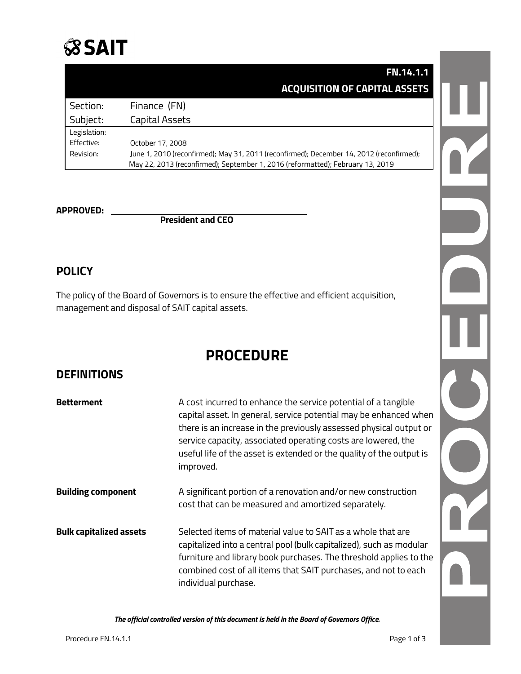

## **FN.14.1.1 ACQUISITION OF CAPITAL ASSETS**

| Section:     | Finance (FN)                                                                             |
|--------------|------------------------------------------------------------------------------------------|
| Subject:     | Capital Assets                                                                           |
| Legislation: |                                                                                          |
| Effective:   | October 17, 2008                                                                         |
| Revision:    | June 1, 2010 (reconfirmed); May 31, 2011 (reconfirmed); December 14, 2012 (reconfirmed); |
|              | May 22, 2013 (reconfirmed); September 1, 2016 (reformatted); February 13, 2019           |

**APPROVED: President and CEO**

## **POLICY**

The policy of the Board of Governors is to ensure the effective and efficient acquisition, management and disposal of SAIT capital assets.

# **PROCEDURE**

#### **DEFINITIONS**

| <b>Betterment</b>              | A cost incurred to enhance the service potential of a tangible<br>capital asset. In general, service potential may be enhanced when                                                                                                                                                                  |  |
|--------------------------------|------------------------------------------------------------------------------------------------------------------------------------------------------------------------------------------------------------------------------------------------------------------------------------------------------|--|
|                                | there is an increase in the previously assessed physical output or<br>service capacity, associated operating costs are lowered, the<br>useful life of the asset is extended or the quality of the output is<br>improved.                                                                             |  |
| <b>Building component</b>      | A significant portion of a renovation and/or new construction<br>cost that can be measured and amortized separately.                                                                                                                                                                                 |  |
| <b>Bulk capitalized assets</b> | Selected items of material value to SAIT as a whole that are<br>capitalized into a central pool (bulk capitalized), such as modular<br>furniture and library book purchases. The threshold applies to the<br>combined cost of all items that SAIT purchases, and not to each<br>individual purchase. |  |

*The official controlled version of this document is held in the Board of Governors Office.*

U OCT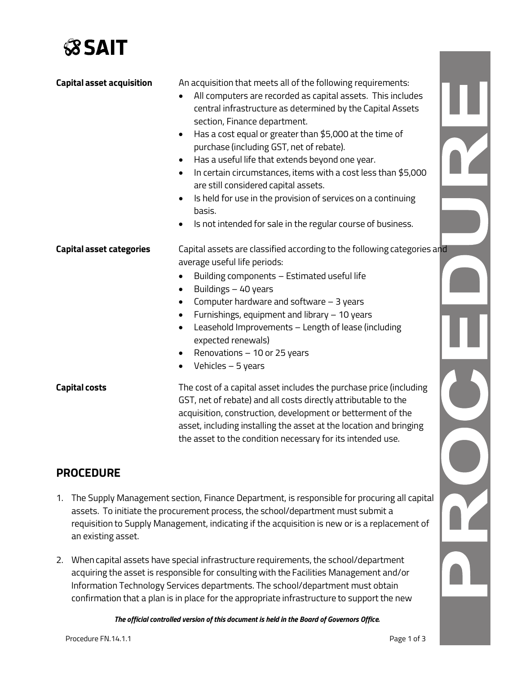

| <b>Capital asset acquisition</b> | An acquisition that meets all of the following requirements:<br>All computers are recorded as capital assets. This includes<br>$\bullet$<br>central infrastructure as determined by the Capital Assets<br>section, Finance department.<br>Has a cost equal or greater than \$5,000 at the time of<br>$\bullet$<br>purchase (including GST, net of rebate).<br>Has a useful life that extends beyond one year.<br>In certain circumstances, items with a cost less than \$5,000<br>$\bullet$<br>are still considered capital assets.<br>Is held for use in the provision of services on a continuing<br>basis.<br>Is not intended for sale in the regular course of business. |  |
|----------------------------------|------------------------------------------------------------------------------------------------------------------------------------------------------------------------------------------------------------------------------------------------------------------------------------------------------------------------------------------------------------------------------------------------------------------------------------------------------------------------------------------------------------------------------------------------------------------------------------------------------------------------------------------------------------------------------|--|
| <b>Capital asset categories</b>  | Capital assets are classified according to the following categories and<br>average useful life periods:<br>Building components - Estimated useful life<br>$\bullet$<br>Buildings - 40 years<br>$\bullet$<br>Computer hardware and software - 3 years<br>Furnishings, equipment and library - 10 years<br>Leasehold Improvements - Length of lease (including<br>$\bullet$<br>expected renewals)<br>Renovations - 10 or 25 years<br>Vehicles - 5 years<br>$\bullet$                                                                                                                                                                                                           |  |
| <b>Capital costs</b>             | The cost of a capital asset includes the purchase price (including<br>GST, net of rebate) and all costs directly attributable to the<br>acquisition, construction, development or betterment of the<br>asset, including installing the asset at the location and bringing                                                                                                                                                                                                                                                                                                                                                                                                    |  |

#### **PROCEDURE**

1. The Supply Management section, Finance Department, is responsible for procuring all capital assets. To initiate the procurement process, the school/department must submit a requisition to Supply Management, indicating if the acquisition is new or is a replacement of an existing asset.

the asset to the condition necessary for its intended use.

2. When capital assets have special infrastructure requirements, the school/department acquiring the asset is responsible for consulting with the Facilities Management and/or Information Technology Services departments. The school/department must obtain confirmation that a plan is in place for the appropriate infrastructure to support the new

*The official controlled version of this document is held in the Board of Governors Office.*